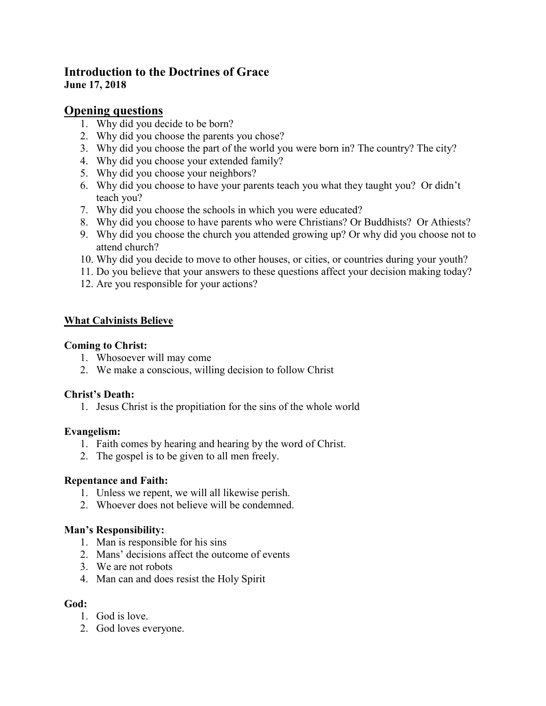# **Introduction to the Doctrines of Grace June 17, 2018**

# **Opening questions**

- 1. Why did you decide to be born?
- 2. Why did you choose the parents you chose?
- 3. Why did you choose the part of the world you were born in? The country? The city?
- 4. Why did you choose your extended family?
- 5. Why did you choose your neighbors?
- 6. Why did you choose to have your parents teach you what they taught you? Or didn't teach you?
- 7. Why did you choose the schools in which you were educated?
- 8. Why did you choose to have parents who were Christians? Or Buddhists? Or Athiests?
- 9. Why did you choose the church you attended growing up? Or why did you choose not to attend church?
- 10. Why did you decide to move to other houses, or cities, or countries during your youth?
- 11. Do you believe that your answers to these questions affect your decision making today?
- 12. Are you responsible for your actions?

## **What Calvinists Believe**

### **Coming to Christ:**

- 1. Whosoever will may come
- 2. We make a conscious, willing decision to follow Christ

### **Christ's Death:**

1. Jesus Christ is the propitiation for the sins of the whole world

### **Evangelism:**

- 1. Faith comes by hearing and hearing by the word of Christ.
- 2. The gospel is to be given to all men freely.

### **Repentance and Faith:**

- 1. Unless we repent, we will all likewise perish.
- 2. Whoever does not believe will be condemned.

### **Man's Responsibility:**

- 1. Man is responsible for his sins
- 2. Mans' decisions affect the outcome of events
- 3. We are not robots
- 4. Man can and does resist the Holy Spirit

### **God:**

- 1. God is love.
- 2. God loves everyone.